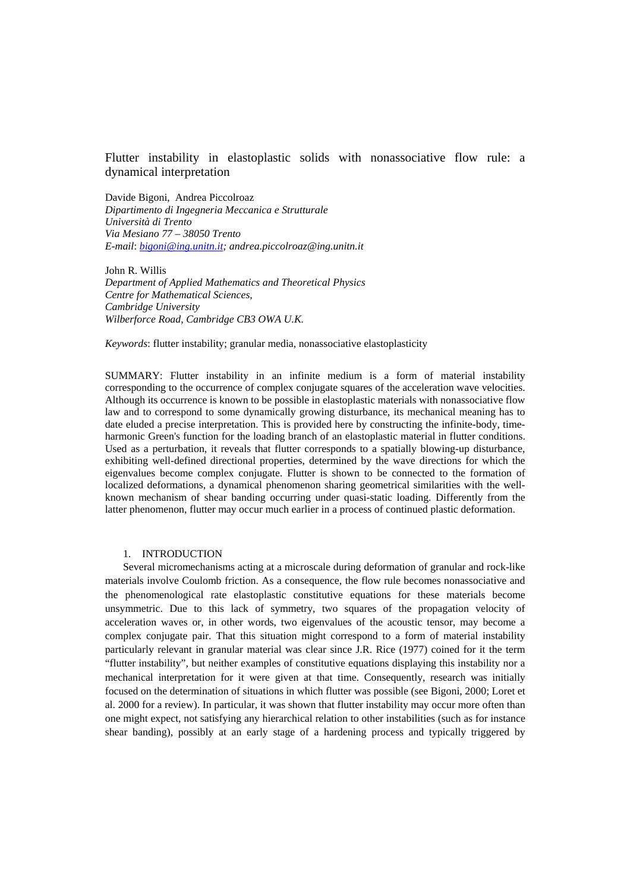# Flutter instability in elastoplastic solids with nonassociative flow rule: a dynamical interpretation

Davide Bigoni, Andrea Piccolroaz *Dipartimento di Ingegneria Meccanica e Strutturale Università di Trento Via Mesiano 77 – 38050 Trento E-mail*: *[bigoni@ing.unitn.it;](mailto:bigoni@ing.unitn.it) andrea.piccolroaz@ing.unitn.it* 

John R. Willis *Department of Applied Mathematics and Theoretical Physics Centre for Mathematical Sciences, Cambridge University Wilberforce Road, Cambridge CB3 OWA U.K.* 

*Keywords*: flutter instability; granular media, nonassociative elastoplasticity

SUMMARY: Flutter instability in an infinite medium is a form of material instability corresponding to the occurrence of complex conjugate squares of the acceleration wave velocities. Although its occurrence is known to be possible in elastoplastic materials with nonassociative flow law and to correspond to some dynamically growing disturbance, its mechanical meaning has to date eluded a precise interpretation. This is provided here by constructing the infinite-body, timeharmonic Green's function for the loading branch of an elastoplastic material in flutter conditions. Used as a perturbation, it reveals that flutter corresponds to a spatially blowing-up disturbance, exhibiting well-defined directional properties, determined by the wave directions for which the eigenvalues become complex conjugate. Flutter is shown to be connected to the formation of localized deformations, a dynamical phenomenon sharing geometrical similarities with the wellknown mechanism of shear banding occurring under quasi-static loading. Differently from the latter phenomenon, flutter may occur much earlier in a process of continued plastic deformation.

## 1. INTRODUCTION

Several micromechanisms acting at a microscale during deformation of granular and rock-like materials involve Coulomb friction. As a consequence, the flow rule becomes nonassociative and the phenomenological rate elastoplastic constitutive equations for these materials become unsymmetric. Due to this lack of symmetry, two squares of the propagation velocity of acceleration waves or, in other words, two eigenvalues of the acoustic tensor, may become a complex conjugate pair. That this situation might correspond to a form of material instability particularly relevant in granular material was clear since J.R. Rice (1977) coined for it the term "flutter instability", but neither examples of constitutive equations displaying this instability nor a mechanical interpretation for it were given at that time. Consequently, research was initially focused on the determination of situations in which flutter was possible (see Bigoni, 2000; Loret et al. 2000 for a review). In particular, it was shown that flutter instability may occur more often than one might expect, not satisfying any hierarchical relation to other instabilities (such as for instance shear banding), possibly at an early stage of a hardening process and typically triggered by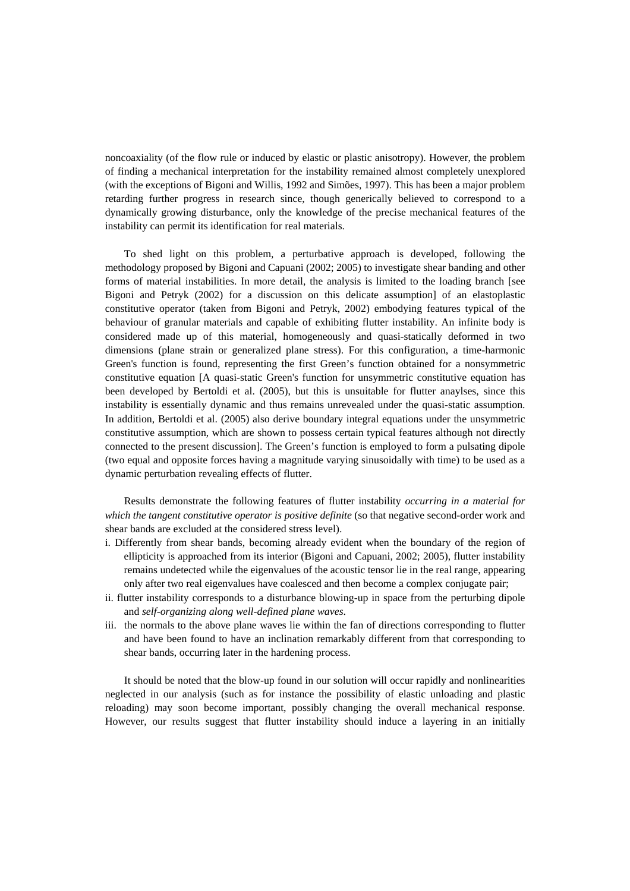noncoaxiality (of the flow rule or induced by elastic or plastic anisotropy). However, the problem of finding a mechanical interpretation for the instability remained almost completely unexplored (with the exceptions of Bigoni and Willis, 1992 and Simões, 1997). This has been a major problem retarding further progress in research since, though generically believed to correspond to a dynamically growing disturbance, only the knowledge of the precise mechanical features of the instability can permit its identification for real materials.

To shed light on this problem, a perturbative approach is developed, following the methodology proposed by Bigoni and Capuani (2002; 2005) to investigate shear banding and other forms of material instabilities. In more detail, the analysis is limited to the loading branch [see Bigoni and Petryk (2002) for a discussion on this delicate assumption] of an elastoplastic constitutive operator (taken from Bigoni and Petryk, 2002) embodying features typical of the behaviour of granular materials and capable of exhibiting flutter instability. An infinite body is considered made up of this material, homogeneously and quasi-statically deformed in two dimensions (plane strain or generalized plane stress). For this configuration, a time-harmonic Green's function is found, representing the first Green's function obtained for a nonsymmetric constitutive equation [A quasi-static Green's function for unsymmetric constitutive equation has been developed by Bertoldi et al. (2005), but this is unsuitable for flutter anaylses, since this instability is essentially dynamic and thus remains unrevealed under the quasi-static assumption. In addition, Bertoldi et al. (2005) also derive boundary integral equations under the unsymmetric constitutive assumption, which are shown to possess certain typical features although not directly connected to the present discussion]. The Green's function is employed to form a pulsating dipole (two equal and opposite forces having a magnitude varying sinusoidally with time) to be used as a dynamic perturbation revealing effects of flutter.

Results demonstrate the following features of flutter instability *occurring in a material for which the tangent constitutive operator is positive definite* (so that negative second-order work and shear bands are excluded at the considered stress level).

- i. Differently from shear bands, becoming already evident when the boundary of the region of ellipticity is approached from its interior (Bigoni and Capuani, 2002; 2005), flutter instability remains undetected while the eigenvalues of the acoustic tensor lie in the real range, appearing only after two real eigenvalues have coalesced and then become a complex conjugate pair;
- ii. flutter instability corresponds to a disturbance blowing-up in space from the perturbing dipole and *self-organizing along well-defined plane waves*.
- iii. the normals to the above plane waves lie within the fan of directions corresponding to flutter and have been found to have an inclination remarkably different from that corresponding to shear bands, occurring later in the hardening process.

It should be noted that the blow-up found in our solution will occur rapidly and nonlinearities neglected in our analysis (such as for instance the possibility of elastic unloading and plastic reloading) may soon become important, possibly changing the overall mechanical response. However, our results suggest that flutter instability should induce a layering in an initially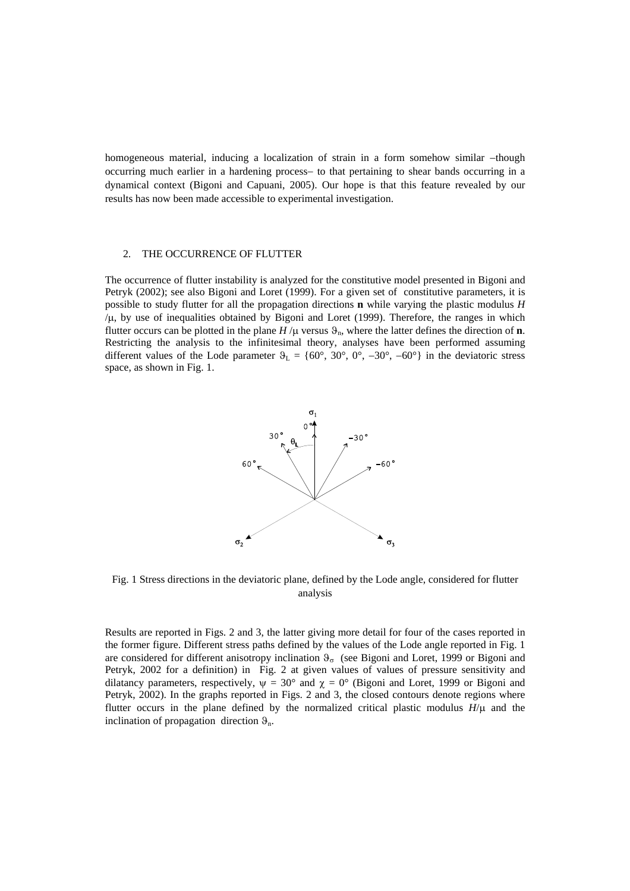homogeneous material, inducing a localization of strain in a form somehow similar −though occurring much earlier in a hardening process− to that pertaining to shear bands occurring in a dynamical context (Bigoni and Capuani, 2005). Our hope is that this feature revealed by our results has now been made accessible to experimental investigation.

#### 2. THE OCCURRENCE OF FLUTTER

The occurrence of flutter instability is analyzed for the constitutive model presented in Bigoni and Petryk (2002); see also Bigoni and Loret (1999). For a given set of constitutive parameters, it is possible to study flutter for all the propagation directions **n** while varying the plastic modulus *H* /µ, by use of inequalities obtained by Bigoni and Loret (1999). Therefore, the ranges in which flutter occurs can be plotted in the plane  $H/\mu$  versus  $\theta_n$ , where the latter defines the direction of **n**. Restricting the analysis to the infinitesimal theory, analyses have been performed assuming different values of the Lode parameter  $\theta_L = \{60^\circ, 30^\circ, 0^\circ, -30^\circ, -60^\circ\}$  in the deviatoric stress space, as shown in Fig. 1.



Fig. 1 Stress directions in the deviatoric plane, defined by the Lode angle, considered for flutter analysis

Results are reported in Figs. 2 and 3, the latter giving more detail for four of the cases reported in the former figure. Different stress paths defined by the values of the Lode angle reported in Fig. 1 are considered for different anisotropy inclination  $\vartheta_{\sigma}$  (see Bigoni and Loret, 1999 or Bigoni and Petryk, 2002 for a definition) in Fig. 2 at given values of values of pressure sensitivity and dilatancy parameters, respectively,  $\psi = 30^{\circ}$  and  $\chi = 0^{\circ}$  (Bigoni and Loret, 1999 or Bigoni and Petryk, 2002). In the graphs reported in Figs. 2 and 3, the closed contours denote regions where flutter occurs in the plane defined by the normalized critical plastic modulus  $H/\mu$  and the inclination of propagation direction  $\vartheta_n$ .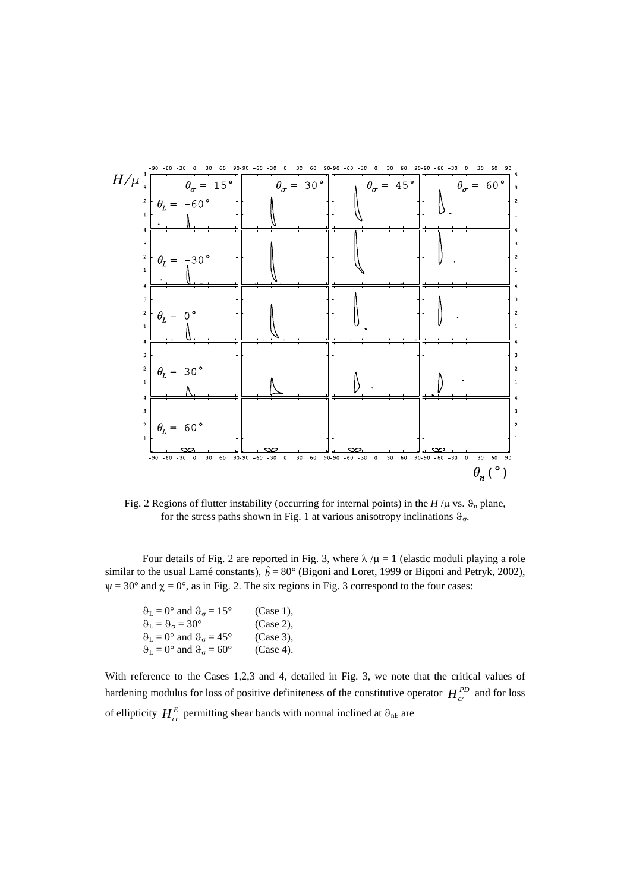

Fig. 2 Regions of flutter instability (occurring for internal points) in the  $H/\mu$  vs.  $\vartheta_n$  plane, for the stress paths shown in Fig. 1 at various anisotropy inclinations  $\theta_{\sigma}$ .

Four details of Fig. 2 are reported in Fig. 3, where  $\lambda / \mu = 1$  (elastic moduli playing a role similar to the usual Lamé constants),  $\hat{b} = 80^{\circ}$  (Bigoni and Loret, 1999 or Bigoni and Petryk, 2002),  $\psi = 30^{\circ}$  and  $\chi = 0^{\circ}$ , as in Fig. 2. The six regions in Fig. 3 correspond to the four cases:

| $\theta_L = 0^\circ$ and $\theta_\sigma = 15^\circ$            | $(Case 1)$ , |
|----------------------------------------------------------------|--------------|
| $\theta_{\rm L} = \theta_{\rm g} = 30^{\circ}$                 | $(Case 2)$ , |
| $\theta_L = 0^\circ$ and $\theta_\sigma = 45^\circ$            | $(Case 3)$ , |
| $\theta_{\rm I} = 0^{\circ}$ and $\theta_{\rm g} = 60^{\circ}$ | $(Case 4)$ . |

With reference to the Cases 1,2,3 and 4, detailed in Fig. 3, we note that the critical values of hardening modulus for loss of positive definiteness of the constitutive operator  $H_{cr}^{PD}$  and for loss of ellipticity  $H_c^E$  permitting shear bands with normal inclined at  $\vartheta_{nE}$  are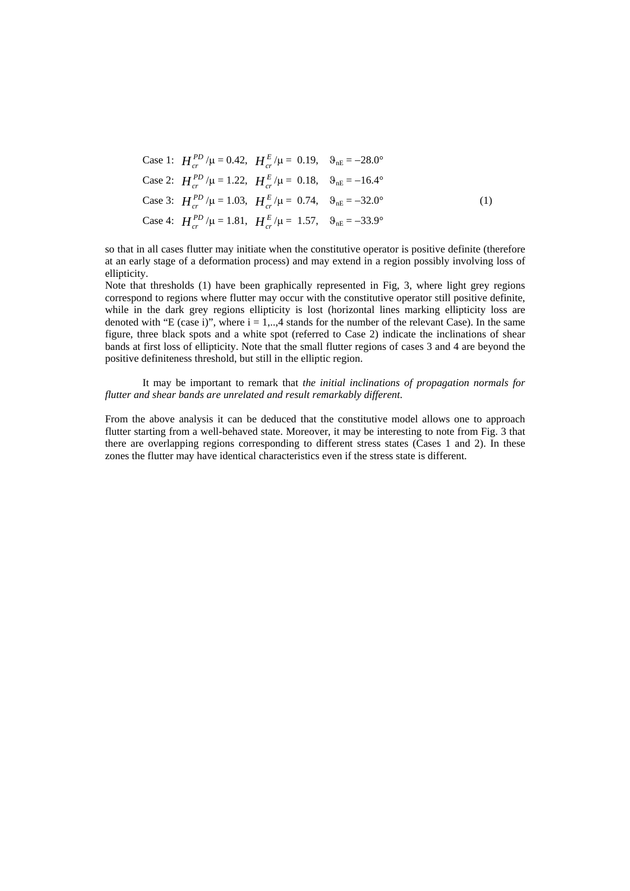Case 1: 
$$
H_{cr}^{PD}/\mu = 0.42
$$
,  $H_{cr}^{E}/\mu = 0.19$ ,  $\vartheta_{nE} = -28.0^{\circ}$   
\nCase 2:  $H_{cr}^{PD}/\mu = 1.22$ ,  $H_{cr}^{E}/\mu = 0.18$ ,  $\vartheta_{nE} = -16.4^{\circ}$   
\nCase 3:  $H_{cr}^{PD}/\mu = 1.03$ ,  $H_{cr}^{E}/\mu = 0.74$ ,  $\vartheta_{nE} = -32.0^{\circ}$  (1)  
\nCase 4:  $H_{cr}^{PD}/\mu = 1.81$ ,  $H_{cr}^{E}/\mu = 1.57$ ,  $\vartheta_{nE} = -33.9^{\circ}$ 

so that in all cases flutter may initiate when the constitutive operator is positive definite (therefore at an early stage of a deformation process) and may extend in a region possibly involving loss of ellipticity.

Note that thresholds (1) have been graphically represented in Fig, 3, where light grey regions correspond to regions where flutter may occur with the constitutive operator still positive definite, while in the dark grey regions ellipticity is lost (horizontal lines marking ellipticity loss are denoted with "E (case i)", where  $i = 1,..,4$  stands for the number of the relevant Case). In the same figure, three black spots and a white spot (referred to Case 2) indicate the inclinations of shear bands at first loss of ellipticity. Note that the small flutter regions of cases 3 and 4 are beyond the positive definiteness threshold, but still in the elliptic region.

It may be important to remark that *the initial inclinations of propagation normals for flutter and shear bands are unrelated and result remarkably different*.

From the above analysis it can be deduced that the constitutive model allows one to approach flutter starting from a well-behaved state. Moreover, it may be interesting to note from Fig. 3 that there are overlapping regions corresponding to different stress states (Cases 1 and 2). In these zones the flutter may have identical characteristics even if the stress state is different.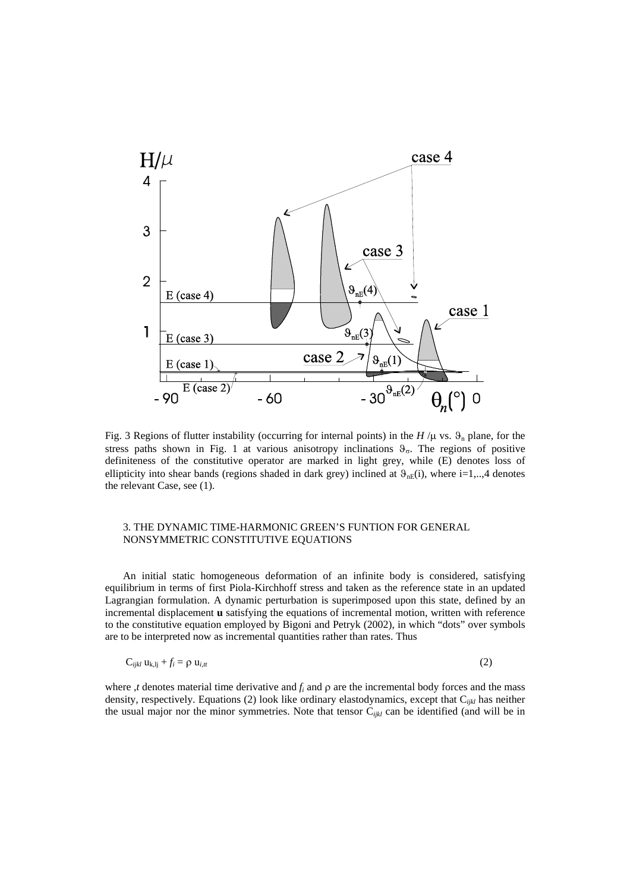

Fig. 3 Regions of flutter instability (occurring for internal points) in the  $H/\mu$  vs.  $\vartheta_n$  plane, for the stress paths shown in Fig. 1 at various anisotropy inclinations  $\vartheta_{\sigma}$ . The regions of positive definiteness of the constitutive operator are marked in light grey, while (E) denotes loss of ellipticity into shear bands (regions shaded in dark grey) inclined at  $\vartheta_{nE}(i)$ , where i=1,..,4 denotes the relevant Case, see (1).

## 3. THE DYNAMIC TIME-HARMONIC GREEN'S FUNTION FOR GENERAL NONSYMMETRIC CONSTITUTIVE EQUATIONS

An initial static homogeneous deformation of an infinite body is considered, satisfying equilibrium in terms of first Piola-Kirchhoff stress and taken as the reference state in an updated Lagrangian formulation. A dynamic perturbation is superimposed upon this state, defined by an incremental displacement **u** satisfying the equations of incremental motion, written with reference to the constitutive equation employed by Bigoni and Petryk (2002), in which "dots" over symbols are to be interpreted now as incremental quantities rather than rates. Thus

$$
C_{ijkl} u_{k,lj} + f_i = \rho u_{i,tt}
$$
\n<sup>(2)</sup>

where ,*t* denotes material time derivative and  $f_i$  and  $\rho$  are the incremental body forces and the mass density, respectively. Equations (2) look like ordinary elastodynamics, except that C*ijkl* has neither the usual major nor the minor symmetries. Note that tensor C*ijkl* can be identified (and will be in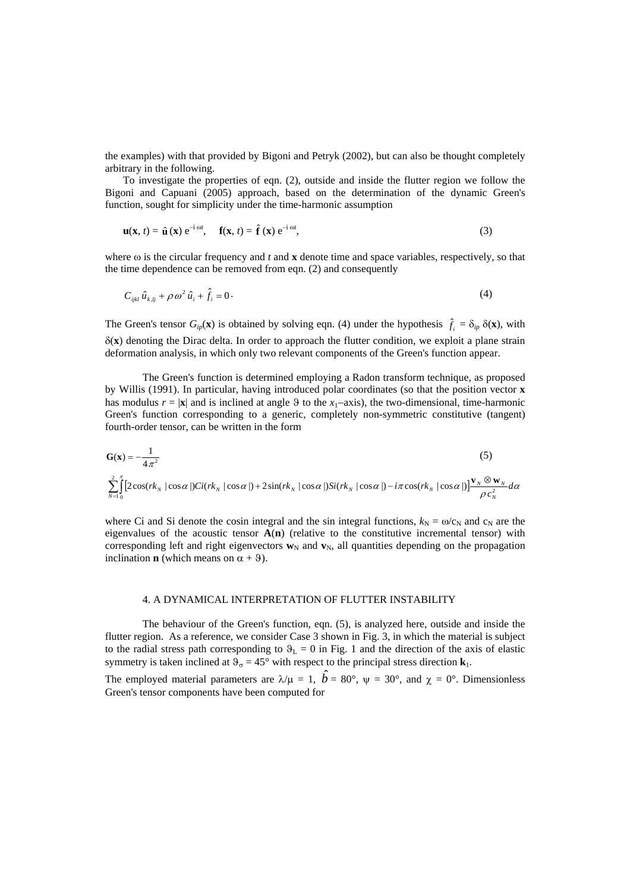the examples) with that provided by Bigoni and Petryk (2002), but can also be thought completely arbitrary in the following.

To investigate the properties of eqn. (2), outside and inside the flutter region we follow the Bigoni and Capuani (2005) approach, based on the determination of the dynamic Green's function, sought for simplicity under the time-harmonic assumption

$$
\mathbf{u}(\mathbf{x}, t) = \hat{\mathbf{u}}(\mathbf{x}) e^{-i \omega t}, \quad \mathbf{f}(\mathbf{x}, t) = \hat{\mathbf{f}}(\mathbf{x}) e^{-i \omega t}, \tag{3}
$$

where  $\omega$  is the circular frequency and *t* and **x** denote time and space variables, respectively, so that the time dependence can be removed from eqn. (2) and consequently

$$
C_{ijkl}\,\hat{u}_{k,ij} + \rho\,\omega^2\,\hat{u}_i + \hat{f}_i = 0\,. \tag{4}
$$

The Green's tensor  $G_{ip}(\mathbf{x})$  is obtained by solving eqn. (4) under the hypothesis  $\hat{f}_i = \delta_{ip} \, \delta(\mathbf{x})$ , with δ(**x**) denoting the Dirac delta. In order to approach the flutter condition, we exploit a plane strain deformation analysis, in which only two relevant components of the Green's function appear.

The Green's function is determined employing a Radon transform technique, as proposed by Willis (1991). In particular, having introduced polar coordinates (so that the position vector **x** has modulus  $r = |x|$  and is inclined at angle 9 to the  $x_1$ −axis), the two-dimensional, time-harmonic Green's function corresponding to a generic, completely non-symmetric constitutive (tangent) fourth-order tensor, can be written in the form

$$
\mathbf{G}(\mathbf{x}) = -\frac{1}{4\pi^2}
$$
\n
$$
\sum_{N=1}^{2} \int_{0}^{\pi} \left[ 2\cos(rk_N \mid \cos\alpha \mid) Ci(rk_N \mid \cos\alpha \mid) + 2\sin(rk_N \mid \cos\alpha \mid) Si(rk_N \mid \cos\alpha \mid) - i\pi \cos(rk_N \mid \cos\alpha \mid) \right] \frac{\mathbf{v}_N \otimes \mathbf{w}_N}{\rho c_N^2} d\alpha
$$
\n(5)

where Ci and Si denote the cosin integral and the sin integral functions,  $k_N = \omega/c_N$  and  $c_N$  are the eigenvalues of the acoustic tensor  $A(n)$  (relative to the constitutive incremental tensor) with corresponding left and right eigenvectors  $w_N$  and  $v_N$ , all quantities depending on the propagation inclination **n** (which means on  $\alpha + 9$ ).

### 4. A DYNAMICAL INTERPRETATION OF FLUTTER INSTABILITY

The behaviour of the Green's function, eqn. (5), is analyzed here, outside and inside the flutter region. As a reference, we consider Case 3 shown in Fig. 3, in which the material is subject to the radial stress path corresponding to  $\vartheta_L = 0$  in Fig. 1 and the direction of the axis of elastic symmetry is taken inclined at  $\theta_{\sigma} = 45^{\circ}$  with respect to the principal stress direction  $\mathbf{k}_1$ .

The employed material parameters are  $\lambda/\mu = 1$ ,  $\hat{b} = 80^{\circ}$ ,  $\psi = 30^{\circ}$ , and  $\chi = 0^{\circ}$ . Dimensionless Green's tensor components have been computed for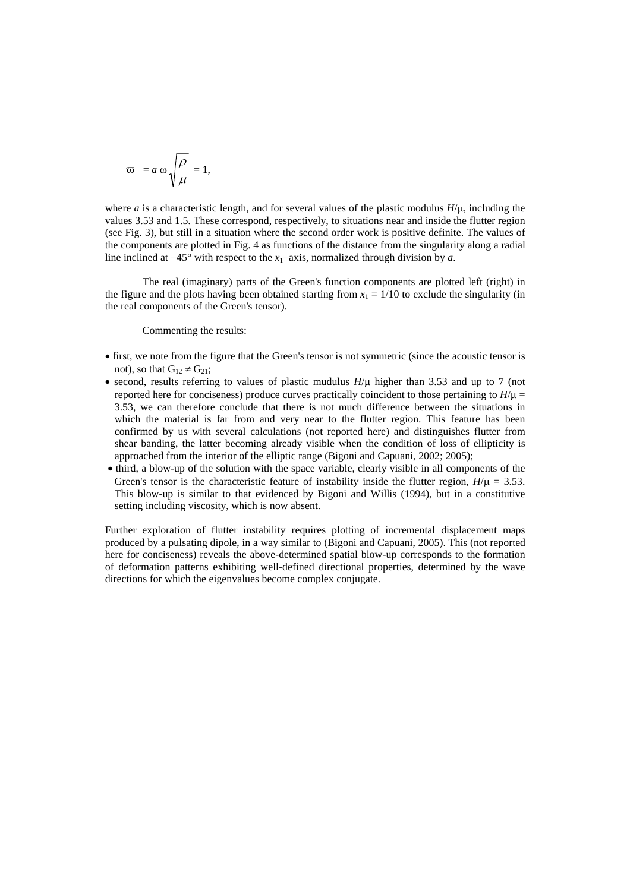$$
\varpi = a \omega \sqrt{\frac{\rho}{\mu}} = 1,
$$

where *a* is a characteristic length, and for several values of the plastic modulus  $H/\mu$ , including the values 3.53 and 1.5. These correspond, respectively, to situations near and inside the flutter region (see Fig. 3), but still in a situation where the second order work is positive definite. The values of the components are plotted in Fig. 4 as functions of the distance from the singularity along a radial line inclined at  $-45^\circ$  with respect to the *x*<sub>1</sub> $-$ axis, normalized through division by *a*.

The real (imaginary) parts of the Green's function components are plotted left (right) in the figure and the plots having been obtained starting from  $x_1 = 1/10$  to exclude the singularity (in the real components of the Green's tensor).

### Commenting the results:

- first, we note from the figure that the Green's tensor is not symmetric (since the acoustic tensor is not), so that  $G_{12} \neq G_{21}$ ;
- second, results referring to values of plastic mudulus *H*/µ higher than 3.53 and up to 7 (not reported here for conciseness) produce curves practically coincident to those pertaining to  $H/\mu$  = 3.53, we can therefore conclude that there is not much difference between the situations in which the material is far from and very near to the flutter region. This feature has been confirmed by us with several calculations (not reported here) and distinguishes flutter from shear banding, the latter becoming already visible when the condition of loss of ellipticity is approached from the interior of the elliptic range (Bigoni and Capuani, 2002; 2005);
- third, a blow-up of the solution with the space variable, clearly visible in all components of the Green's tensor is the characteristic feature of instability inside the flutter region,  $H/\mu = 3.53$ . This blow-up is similar to that evidenced by Bigoni and Willis (1994), but in a constitutive setting including viscosity, which is now absent.

Further exploration of flutter instability requires plotting of incremental displacement maps produced by a pulsating dipole, in a way similar to (Bigoni and Capuani, 2005). This (not reported here for conciseness) reveals the above-determined spatial blow-up corresponds to the formation of deformation patterns exhibiting well-defined directional properties, determined by the wave directions for which the eigenvalues become complex conjugate.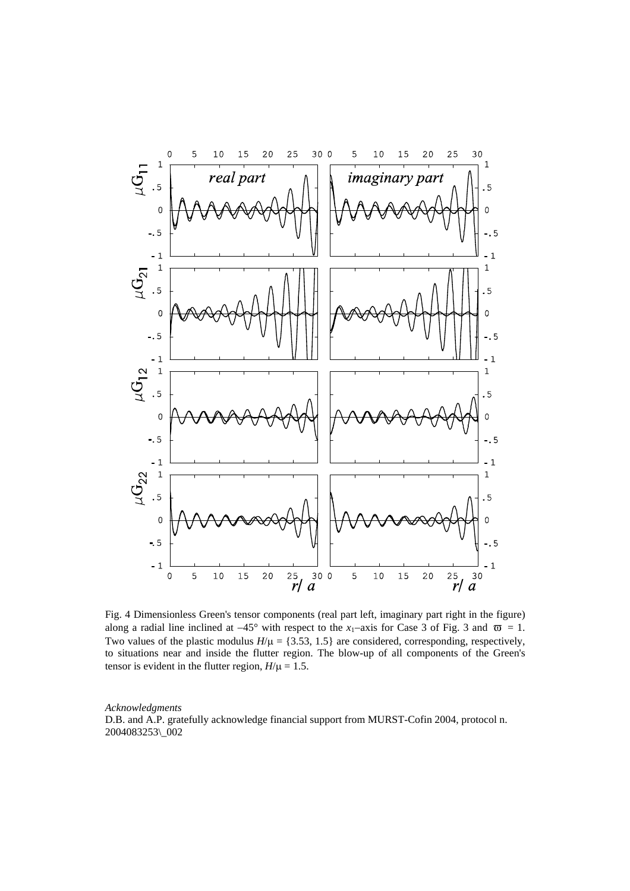

Fig. 4 Dimensionless Green's tensor components (real part left, imaginary part right in the figure) along a radial line inclined at  $-45^\circ$  with respect to the *x*<sub>1</sub> $-$ axis for Case 3 of Fig. 3 and  $\overline{\omega} = 1$ . Two values of the plastic modulus  $H/\mu = \{3.53, 1.5\}$  are considered, corresponding, respectively, to situations near and inside the flutter region. The blow-up of all components of the Green's tensor is evident in the flutter region,  $H/\mu = 1.5$ .

*Acknowledgments* D.B. and A.P. gratefully acknowledge financial support from MURST-Cofin 2004, protocol n. 2004083253\\_002